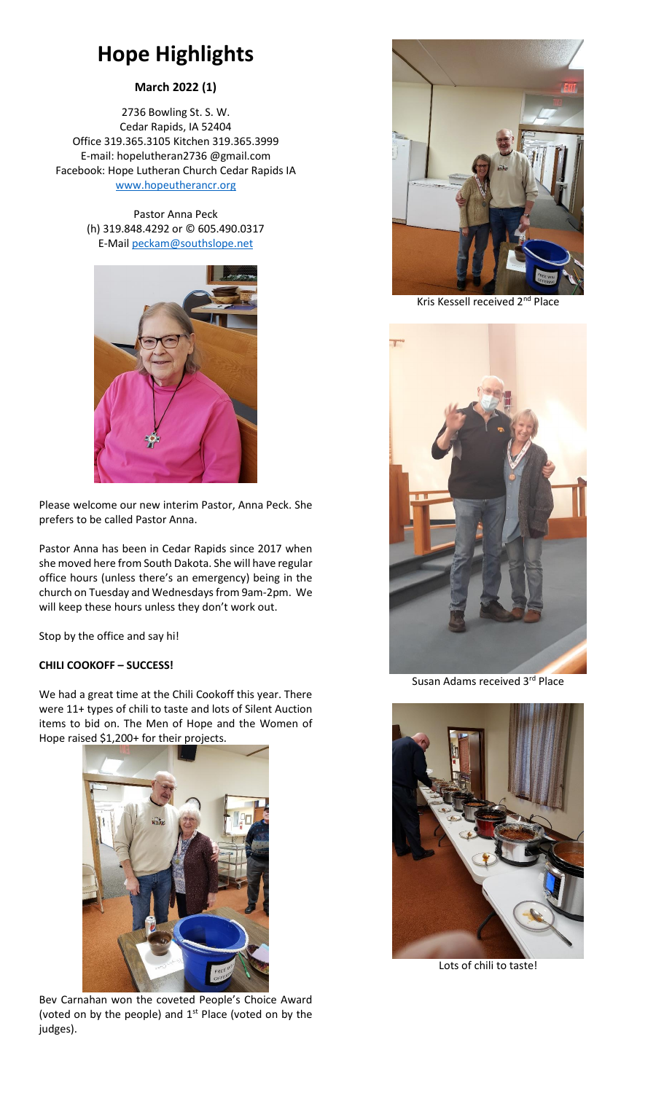# **Hope Highlights**

### **March 2022 (1)**

2736 Bowling St. S. W. Cedar Rapids, IA 52404 Office 319.365.3105 Kitchen 319.365.3999 E-mail: hopelutheran2736 @gmail.com Facebook: Hope Lutheran Church Cedar Rapids IA [www.hopeutherancr.org](http://www.hopeutherancr.org/)

> Pastor Anna Peck (h) 319.848.4292 or © 605.490.0317 E-Mai[l peckam@southslope.net](mailto:peckam@southslope.net)



Please welcome our new interim Pastor, Anna Peck. She prefers to be called Pastor Anna.

Pastor Anna has been in Cedar Rapids since 2017 when she moved here from South Dakota. She will have regular office hours (unless there's an emergency) being in the church on Tuesday and Wednesdays from 9am-2pm. We will keep these hours unless they don't work out.

Stop by the office and say hi!

#### **CHILI COOKOFF – SUCCESS!**

We had a great time at the Chili Cookoff this year. There were 11+ types of chili to taste and lots of Silent Auction items to bid on. The Men of Hope and the Women of Hope raised \$1,200+ for their projects.



Bev Carnahan won the coveted People's Choice Award (voted on by the people) and 1<sup>st</sup> Place (voted on by the judges).



Kris Kessell received 2nd Place



Susan Adams received 3rd Place



Lots of chili to taste!